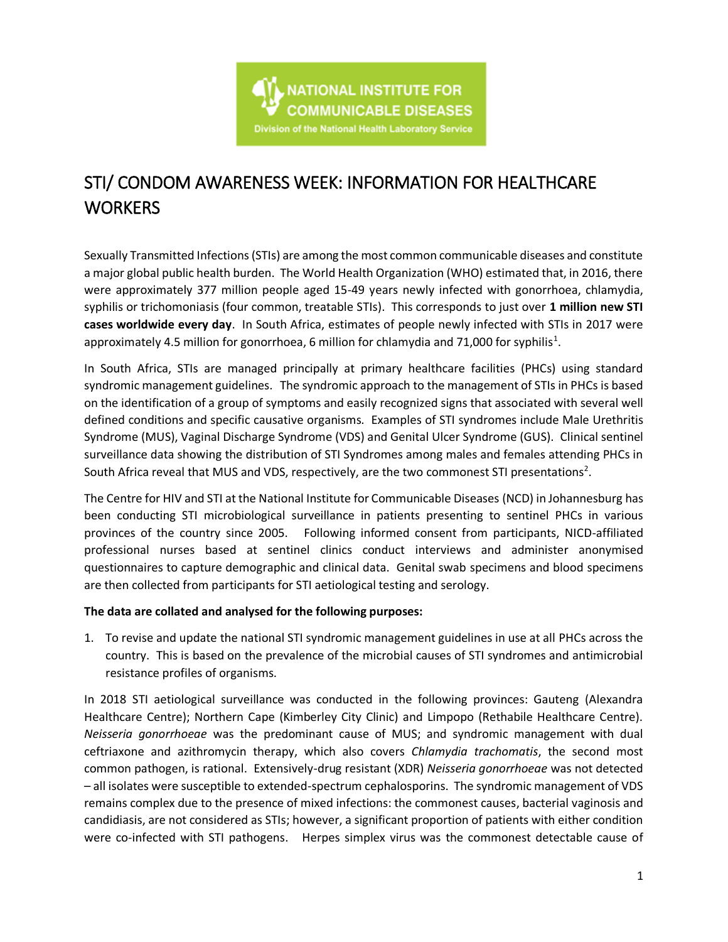

# STI/ CONDOM AWARENESS WEEK: INFORMATION FOR HEALTHCARE **WORKERS**

Sexually Transmitted Infections (STIs) are among the most common communicable diseases and constitute a major global public health burden. The World Health Organization (WHO) estimated that, in 2016, there were approximately 377 million people aged 15-49 years newly infected with gonorrhoea, chlamydia, syphilis or trichomoniasis (four common, treatable STIs). This corresponds to just over **1 million new STI cases worldwide every day**. In South Africa, estimates of people newly infected with STIs in 2017 were approximately 4.5 million for gonorrhoea, 6 million for chlamydia and 71,000 for syphilis<sup>1</sup>.

In South Africa, STIs are managed principally at primary healthcare facilities (PHCs) using standard syndromic management guidelines. The syndromic approach to the management of STIs in PHCs is based on the identification of a group of symptoms and easily recognized signs that associated with several well defined conditions and specific causative organisms. Examples of STI syndromes include Male Urethritis Syndrome (MUS), Vaginal Discharge Syndrome (VDS) and Genital Ulcer Syndrome (GUS). Clinical sentinel surveillance data showing the distribution of STI Syndromes among males and females attending PHCs in South Africa reveal that MUS and VDS, respectively, are the two commonest STI presentations<sup>2</sup>.

The Centre for HIV and STI at the National Institute for Communicable Diseases (NCD) in Johannesburg has been conducting STI microbiological surveillance in patients presenting to sentinel PHCs in various provinces of the country since 2005. Following informed consent from participants, NICD-affiliated professional nurses based at sentinel clinics conduct interviews and administer anonymised questionnaires to capture demographic and clinical data. Genital swab specimens and blood specimens are then collected from participants for STI aetiological testing and serology.

## **The data are collated and analysed for the following purposes:**

1. To revise and update the national STI syndromic management guidelines in use at all PHCs across the country. This is based on the prevalence of the microbial causes of STI syndromes and antimicrobial resistance profiles of organisms.

In 2018 STI aetiological surveillance was conducted in the following provinces: Gauteng (Alexandra Healthcare Centre); Northern Cape (Kimberley City Clinic) and Limpopo (Rethabile Healthcare Centre). *Neisseria gonorrhoeae* was the predominant cause of MUS; and syndromic management with dual ceftriaxone and azithromycin therapy, which also covers *Chlamydia trachomatis*, the second most common pathogen, is rational. Extensively-drug resistant (XDR) *Neisseria gonorrhoeae* was not detected – all isolates were susceptible to extended-spectrum cephalosporins. The syndromic management of VDS remains complex due to the presence of mixed infections: the commonest causes, bacterial vaginosis and candidiasis, are not considered as STIs; however, a significant proportion of patients with either condition were co-infected with STI pathogens. Herpes simplex virus was the commonest detectable cause of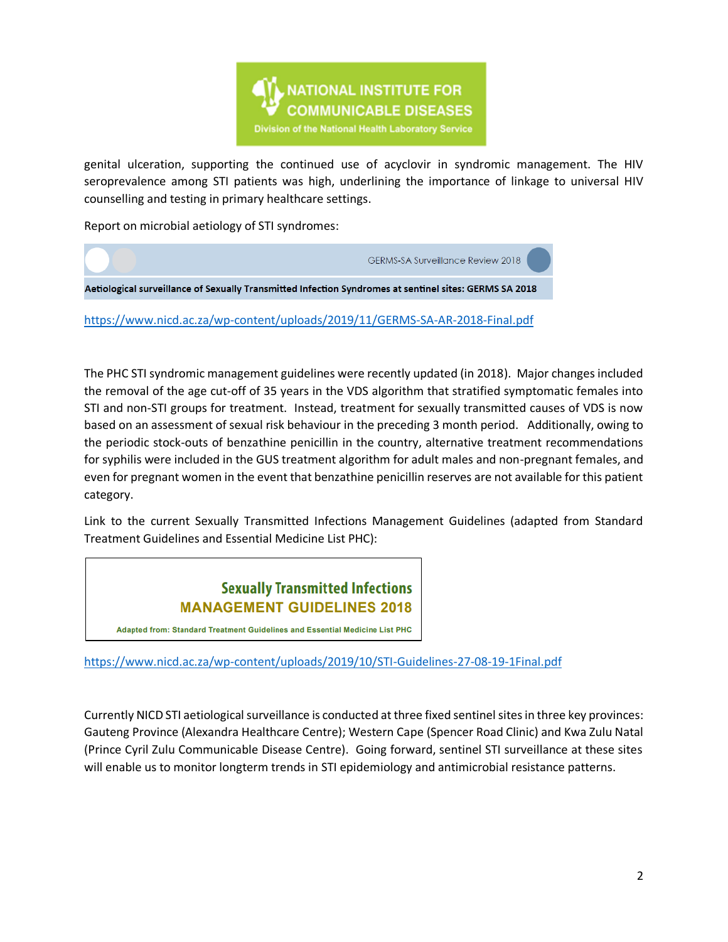

genital ulceration, supporting the continued use of acyclovir in syndromic management. The HIV seroprevalence among STI patients was high, underlining the importance of linkage to universal HIV counselling and testing in primary healthcare settings.

Report on microbial aetiology of STI syndromes:



<https://www.nicd.ac.za/wp-content/uploads/2019/11/GERMS-SA-AR-2018-Final.pdf>

The PHC STI syndromic management guidelines were recently updated (in 2018). Major changes included the removal of the age cut-off of 35 years in the VDS algorithm that stratified symptomatic females into STI and non-STI groups for treatment. Instead, treatment for sexually transmitted causes of VDS is now based on an assessment of sexual risk behaviour in the preceding 3 month period. Additionally, owing to the periodic stock-outs of benzathine penicillin in the country, alternative treatment recommendations for syphilis were included in the GUS treatment algorithm for adult males and non-pregnant females, and even for pregnant women in the event that benzathine penicillin reserves are not available for this patient category.

Link to the current Sexually Transmitted Infections Management Guidelines (adapted from Standard Treatment Guidelines and Essential Medicine List PHC):

# **Sexually Transmitted Infections MANAGEMENT GUIDELINES 2018**

Adapted from: Standard Treatment Guidelines and Essential Medicine List PHC

<https://www.nicd.ac.za/wp-content/uploads/2019/10/STI-Guidelines-27-08-19-1Final.pdf>

Currently NICD STI aetiological surveillance is conducted at three fixed sentinel sites in three key provinces: Gauteng Province (Alexandra Healthcare Centre); Western Cape (Spencer Road Clinic) and Kwa Zulu Natal (Prince Cyril Zulu Communicable Disease Centre). Going forward, sentinel STI surveillance at these sites will enable us to monitor longterm trends in STI epidemiology and antimicrobial resistance patterns.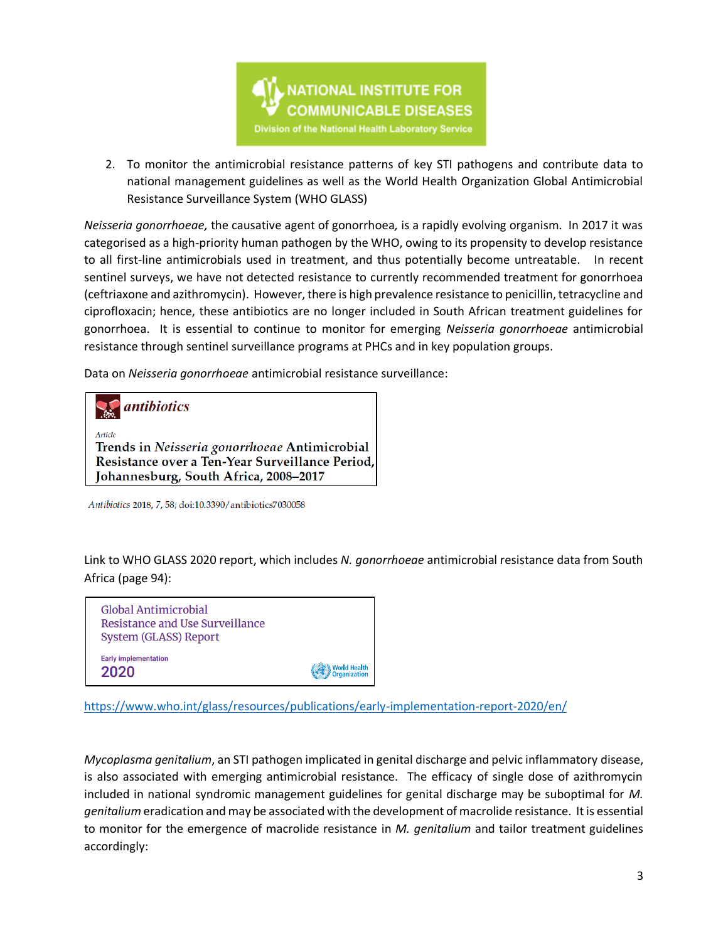

2. To monitor the antimicrobial resistance patterns of key STI pathogens and contribute data to national management guidelines as well as the World Health Organization Global Antimicrobial Resistance Surveillance System (WHO GLASS)

*Neisseria gonorrhoeae,* the causative agent of gonorrhoea*,* is a rapidly evolving organism. In 2017 it was categorised as a high-priority human pathogen by the WHO, owing to its propensity to develop resistance to all first-line antimicrobials used in treatment, and thus potentially become untreatable. In recent sentinel surveys, we have not detected resistance to currently recommended treatment for gonorrhoea (ceftriaxone and azithromycin). However, there is high prevalence resistance to penicillin, tetracycline and ciprofloxacin; hence, these antibiotics are no longer included in South African treatment guidelines for gonorrhoea. It is essential to continue to monitor for emerging *Neisseria gonorrhoeae* antimicrobial resistance through sentinel surveillance programs at PHCs and in key population groups.

Data on *Neisseria gonorrhoeae* antimicrobial resistance surveillance:



Antibiotics 2018, 7, 58; doi:10.3390/antibiotics7030058

Link to WHO GLASS 2020 report, which includes *N. gonorrhoeae* antimicrobial resistance data from South Africa (page 94):



<https://www.who.int/glass/resources/publications/early-implementation-report-2020/en/>

*Mycoplasma genitalium*, an STI pathogen implicated in genital discharge and pelvic inflammatory disease, is also associated with emerging antimicrobial resistance. The efficacy of single dose of azithromycin included in national syndromic management guidelines for genital discharge may be suboptimal for *M. genitalium* eradication and may be associated with the development of macrolide resistance. It is essential to monitor for the emergence of macrolide resistance in *M. genitalium* and tailor treatment guidelines accordingly: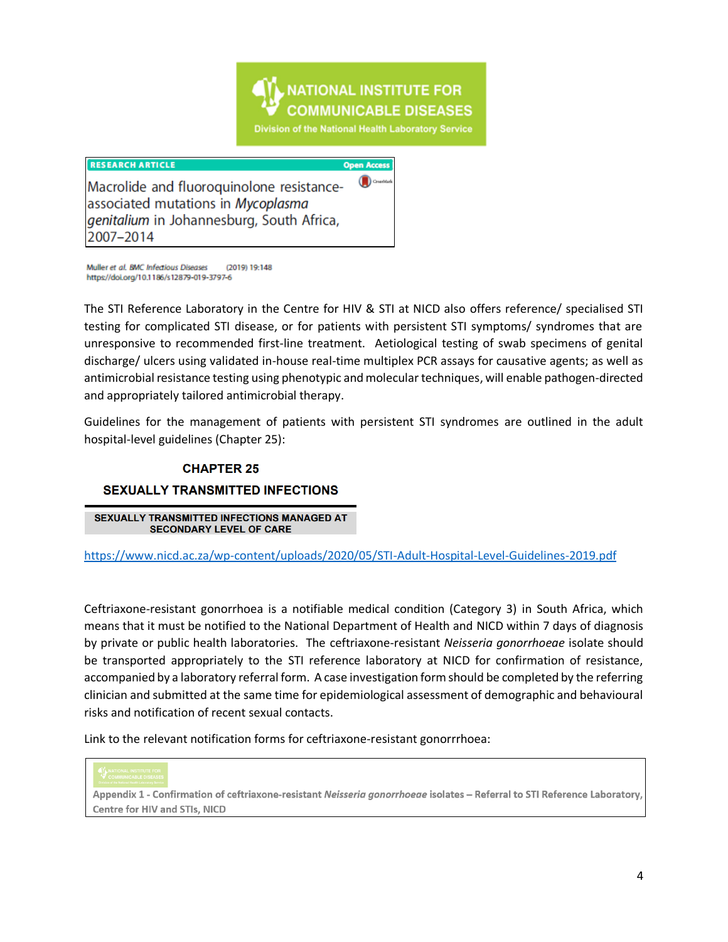

#### **RESEARCH ARTICLE**

**Open Access** 

Macrolide and fluoroquinolone resistanceassociated mutations in Mycoplasma genitalium in Johannesburg, South Africa, 2007-2014

Muller et al. BMC Infectious Diseases (2019) 19:148 https://doi.org/10.1186/s12879-019-3797-6

The STI Reference Laboratory in the Centre for HIV & STI at NICD also offers reference/ specialised STI testing for complicated STI disease, or for patients with persistent STI symptoms/ syndromes that are unresponsive to recommended first-line treatment. Aetiological testing of swab specimens of genital discharge/ ulcers using validated in-house real-time multiplex PCR assays for causative agents; as well as antimicrobial resistance testing using phenotypic and molecular techniques, will enable pathogen-directed and appropriately tailored antimicrobial therapy.

Guidelines for the management of patients with persistent STI syndromes are outlined in the adult hospital-level guidelines (Chapter 25):

#### **CHAPTER 25**

## **SEXUALLY TRANSMITTED INFECTIONS**

SEXUALLY TRANSMITTED INFECTIONS MANAGED AT **SECONDARY LEVEL OF CARE** 

<https://www.nicd.ac.za/wp-content/uploads/2020/05/STI-Adult-Hospital-Level-Guidelines-2019.pdf>

Ceftriaxone-resistant gonorrhoea is a notifiable medical condition (Category 3) in South Africa, which means that it must be notified to the National Department of Health and NICD within 7 days of diagnosis by private or public health laboratories. The ceftriaxone-resistant *Neisseria gonorrhoeae* isolate should be transported appropriately to the STI reference laboratory at NICD for confirmation of resistance, accompanied by a laboratory referral form. A case investigation form should be completed by the referring clinician and submitted at the same time for epidemiological assessment of demographic and behavioural risks and notification of recent sexual contacts.

Link to the relevant notification forms for ceftriaxone-resistant gonorrrhoea:



Appendix 1 - Confirmation of ceftriaxone-resistant Neisseria gonorrhoeae isolates - Referral to STI Reference Laboratory, **Centre for HIV and STIs, NICD**